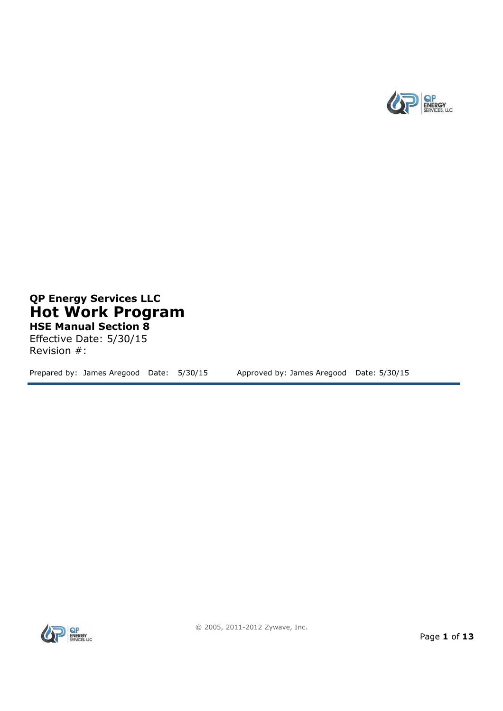

## **QP Energy Services LLC Hot Work Program HSE Manual Section 8**

Effective Date: 5/30/15 Revision #:

Prepared by: James Aregood Date: 5/30/15 Approved by: James Aregood Date: 5/30/15

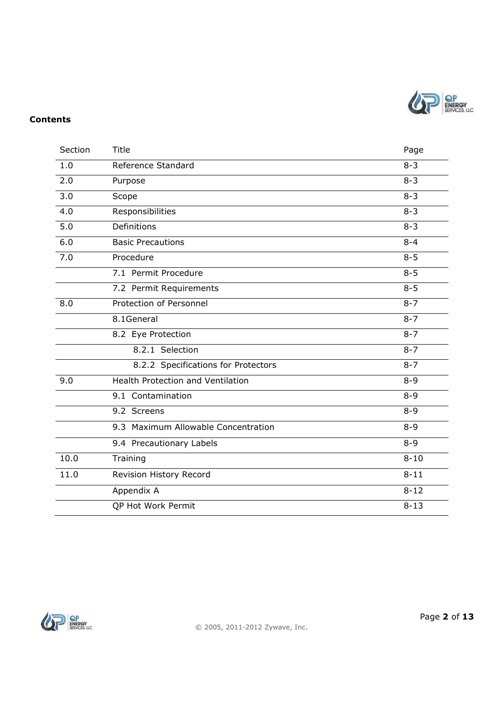

#### **Contents**

| Section | Title                                    |          |  |
|---------|------------------------------------------|----------|--|
| 1.0     | Reference Standard                       |          |  |
| 2.0     | Purpose                                  | $8 - 3$  |  |
| 3.0     | Scope                                    | $8 - 3$  |  |
| 4.0     | Responsibilities                         |          |  |
| 5.0     | Definitions                              |          |  |
| 6.0     | <b>Basic Precautions</b>                 |          |  |
| 7.0     | Procedure                                | $8 - 5$  |  |
|         | 7.1 Permit Procedure                     | $8 - 5$  |  |
|         | 7.2 Permit Requirements                  | $8 - 5$  |  |
| 8.0     | Protection of Personnel                  | $8 - 7$  |  |
|         | 8.1General                               | $8 - 7$  |  |
|         | 8.2 Eye Protection                       | $8 - 7$  |  |
|         | 8.2.1 Selection                          | $8 - 7$  |  |
|         | 8.2.2 Specifications for Protectors      | $8 - 7$  |  |
| 9.0     | <b>Health Protection and Ventilation</b> | $8 - 9$  |  |
|         | 9.1 Contamination                        | $8 - 9$  |  |
|         | 9.2 Screens                              | $8 - 9$  |  |
|         | 9.3 Maximum Allowable Concentration      | $8 - 9$  |  |
|         | 9.4 Precautionary Labels                 | $8 - 9$  |  |
| 10.0    | Training                                 | $8 - 10$ |  |
| 11.0    | Revision History Record                  | $8 - 11$ |  |
|         | Appendix A                               | $8 - 12$ |  |
|         | QP Hot Work Permit                       | $8 - 13$ |  |

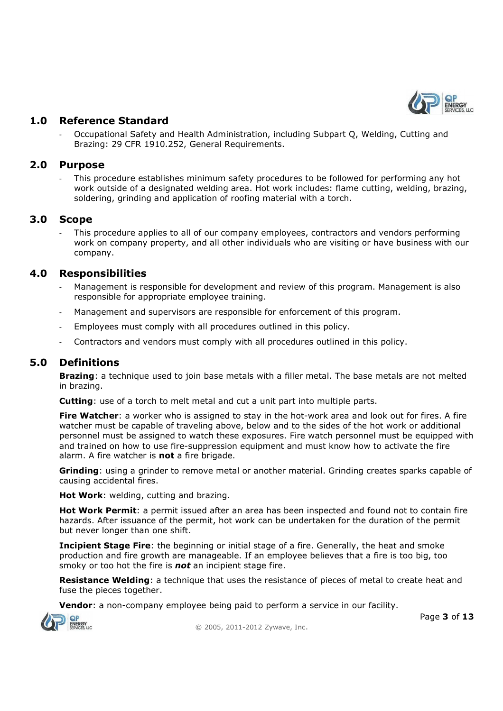

## **1.0 Reference Standard**

- Occupational Safety and Health Administration, including Subpart Q, Welding, Cutting and Brazing: 29 CFR 1910.252, General Requirements.

#### **2.0 Purpose**

This procedure establishes minimum safety procedures to be followed for performing any hot work outside of a designated welding area. Hot work includes: flame cutting, welding, brazing, soldering, grinding and application of roofing material with a torch.

#### **3.0 Scope**

This procedure applies to all of our company employees, contractors and vendors performing work on company property, and all other individuals who are visiting or have business with our company.

## **4.0 Responsibilities**

- Management is responsible for development and review of this program. Management is also responsible for appropriate employee training.
- Management and supervisors are responsible for enforcement of this program.
- Employees must comply with all procedures outlined in this policy.
- Contractors and vendors must comply with all procedures outlined in this policy.

## **5.0 Definitions**

**Brazing**: a technique used to join base metals with a filler metal. The base metals are not melted in brazing.

**Cutting**: use of a torch to melt metal and cut a unit part into multiple parts.

**Fire Watcher**: a worker who is assigned to stay in the hot-work area and look out for fires. A fire watcher must be capable of traveling above, below and to the sides of the hot work or additional personnel must be assigned to watch these exposures. Fire watch personnel must be equipped with and trained on how to use fire-suppression equipment and must know how to activate the fire alarm. A fire watcher is **not** a fire brigade.

**Grinding**: using a grinder to remove metal or another material. Grinding creates sparks capable of causing accidental fires.

**Hot Work**: welding, cutting and brazing.

**Hot Work Permit**: a permit issued after an area has been inspected and found not to contain fire hazards. After issuance of the permit, hot work can be undertaken for the duration of the permit but never longer than one shift.

**Incipient Stage Fire:** the beginning or initial stage of a fire. Generally, the heat and smoke production and fire growth are manageable. If an employee believes that a fire is too big, too smoky or too hot the fire is *not* an incipient stage fire.

**Resistance Welding**: a technique that uses the resistance of pieces of metal to create heat and fuse the pieces together.

**Vendor**: a non-company employee being paid to perform a service in our facility.



© 2005, 2011-2012 Zywave, Inc.

Page **3** of **13**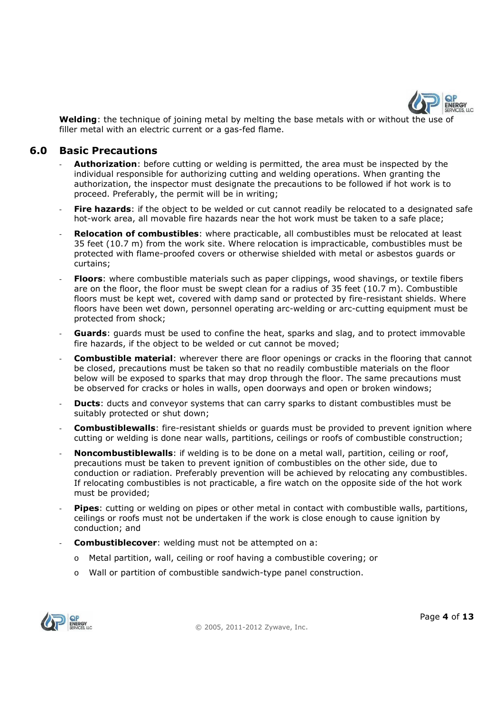

**Welding**: the technique of joining metal by melting the base metals with or without the use of filler metal with an electric current or a gas-fed flame.

#### **6.0 Basic Precautions**

- Authorization: before cutting or welding is permitted, the area must be inspected by the individual responsible for authorizing cutting and welding operations. When granting the authorization, the inspector must designate the precautions to be followed if hot work is to proceed. Preferably, the permit will be in writing;
- **Fire hazards:** if the object to be welded or cut cannot readily be relocated to a designated safe hot-work area, all movable fire hazards near the hot work must be taken to a safe place;
- **Relocation of combustibles**: where practicable, all combustibles must be relocated at least 35 feet (10.7 m) from the work site. Where relocation is impracticable, combustibles must be protected with flame-proofed covers or otherwise shielded with metal or asbestos guards or curtains;
- **Floors**: where combustible materials such as paper clippings, wood shavings, or textile fibers are on the floor, the floor must be swept clean for a radius of 35 feet (10.7 m). Combustible floors must be kept wet, covered with damp sand or protected by fire-resistant shields. Where floors have been wet down, personnel operating arc-welding or arc-cutting equipment must be protected from shock;
- **Guards**: guards must be used to confine the heat, sparks and slag, and to protect immovable fire hazards, if the object to be welded or cut cannot be moved;
- **Combustible material:** wherever there are floor openings or cracks in the flooring that cannot be closed, precautions must be taken so that no readily combustible materials on the floor below will be exposed to sparks that may drop through the floor. The same precautions must be observed for cracks or holes in walls, open doorways and open or broken windows;
- **Ducts:** ducts and conveyor systems that can carry sparks to distant combustibles must be suitably protected or shut down;
- **Combustiblewalls**: fire-resistant shields or guards must be provided to prevent ignition where cutting or welding is done near walls, partitions, ceilings or roofs of combustible construction;
- Noncombustiblewalls: if welding is to be done on a metal wall, partition, ceiling or roof, precautions must be taken to prevent ignition of combustibles on the other side, due to conduction or radiation. Preferably prevention will be achieved by relocating any combustibles. If relocating combustibles is not practicable, a fire watch on the opposite side of the hot work must be provided;
- **Pipes**: cutting or welding on pipes or other metal in contact with combustible walls, partitions, ceilings or roofs must not be undertaken if the work is close enough to cause ignition by conduction; and
- **Combustiblecover:** welding must not be attempted on a:
	- o Metal partition, wall, ceiling or roof having a combustible covering; or
	- o Wall or partition of combustible sandwich-type panel construction.

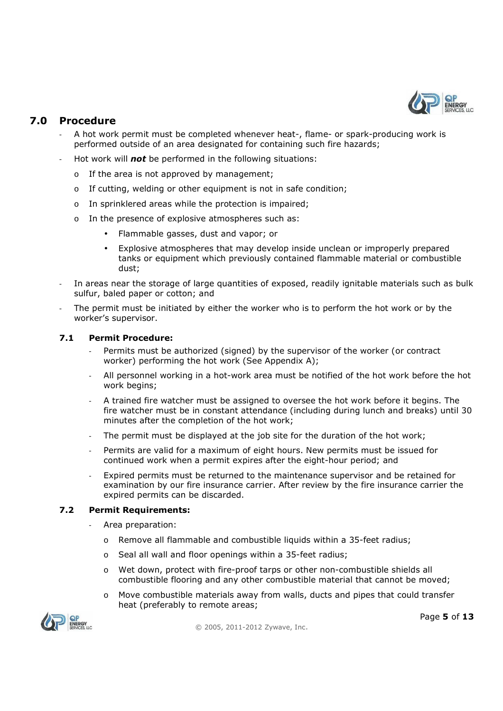

## **7.0 Procedure**

- A hot work permit must be completed whenever heat-, flame- or spark-producing work is performed outside of an area designated for containing such fire hazards;
- Hot work will *not* be performed in the following situations:
	- o If the area is not approved by management;
	- o If cutting, welding or other equipment is not in safe condition;
	- o In sprinklered areas while the protection is impaired;
	- o In the presence of explosive atmospheres such as:
		- Flammable gasses, dust and vapor; or
		- Explosive atmospheres that may develop inside unclean or improperly prepared tanks or equipment which previously contained flammable material or combustible dust;
- In areas near the storage of large quantities of exposed, readily ignitable materials such as bulk sulfur, baled paper or cotton; and
- The permit must be initiated by either the worker who is to perform the hot work or by the worker's supervisor.

#### **7.1 Permit Procedure:**

- Permits must be authorized (signed) by the supervisor of the worker (or contract worker) performing the hot work (See Appendix A);
- All personnel working in a hot-work area must be notified of the hot work before the hot work begins:
- A trained fire watcher must be assigned to oversee the hot work before it begins. The fire watcher must be in constant attendance (including during lunch and breaks) until 30 minutes after the completion of the hot work;
- The permit must be displayed at the job site for the duration of the hot work;
- Permits are valid for a maximum of eight hours. New permits must be issued for continued work when a permit expires after the eight-hour period; and
- Expired permits must be returned to the maintenance supervisor and be retained for examination by our fire insurance carrier. After review by the fire insurance carrier the expired permits can be discarded.

#### **7.2 Permit Requirements:**

- Area preparation:
	- o Remove all flammable and combustible liquids within a 35-feet radius;
	- o Seal all wall and floor openings within a 35-feet radius;
	- o Wet down, protect with fire-proof tarps or other non-combustible shields all combustible flooring and any other combustible material that cannot be moved;
	- $\circ$  Move combustible materials away from walls, ducts and pipes that could transfer heat (preferably to remote areas;

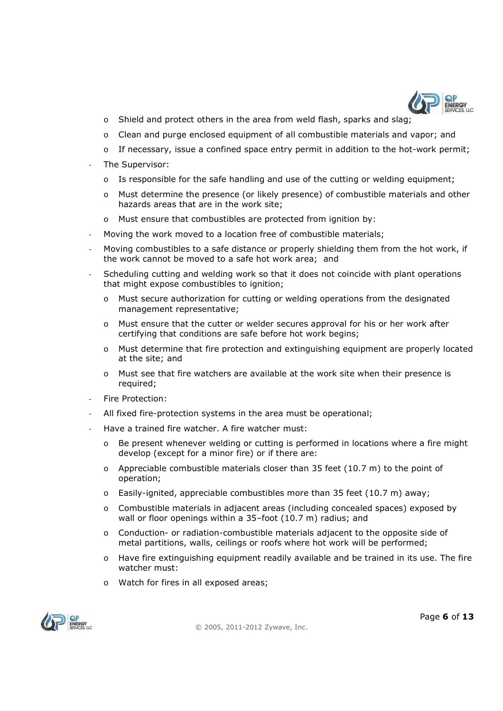

- $\circ$  Shield and protect others in the area from weld flash, sparks and slag;
- o Clean and purge enclosed equipment of all combustible materials and vapor; and
- o If necessary, issue a confined space entry permit in addition to the hot-work permit;
- The Supervisor:
	- o Is responsible for the safe handling and use of the cutting or welding equipment;
	- o Must determine the presence (or likely presence) of combustible materials and other hazards areas that are in the work site;
	- o Must ensure that combustibles are protected from ignition by:
- Moving the work moved to a location free of combustible materials;
- Moving combustibles to a safe distance or properly shielding them from the hot work, if the work cannot be moved to a safe hot work area; and
- Scheduling cutting and welding work so that it does not coincide with plant operations that might expose combustibles to ignition;
	- o Must secure authorization for cutting or welding operations from the designated management representative;
	- o Must ensure that the cutter or welder secures approval for his or her work after certifying that conditions are safe before hot work begins;
	- o Must determine that fire protection and extinguishing equipment are properly located at the site; and
	- o Must see that fire watchers are available at the work site when their presence is required;
- Fire Protection:
- All fixed fire-protection systems in the area must be operational;
- Have a trained fire watcher. A fire watcher must:
	- $\circ$  Be present whenever welding or cutting is performed in locations where a fire might develop (except for a minor fire) or if there are:
	- $\circ$  Appreciable combustible materials closer than 35 feet (10.7 m) to the point of operation;
	- o Easily-ignited, appreciable combustibles more than 35 feet (10.7 m) away;
	- o Combustible materials in adjacent areas (including concealed spaces) exposed by wall or floor openings within a 35–foot (10.7 m) radius; and
	- o Conduction- or radiation-combustible materials adjacent to the opposite side of metal partitions, walls, ceilings or roofs where hot work will be performed;
	- o Have fire extinguishing equipment readily available and be trained in its use. The fire watcher must:
	- o Watch for fires in all exposed areas;

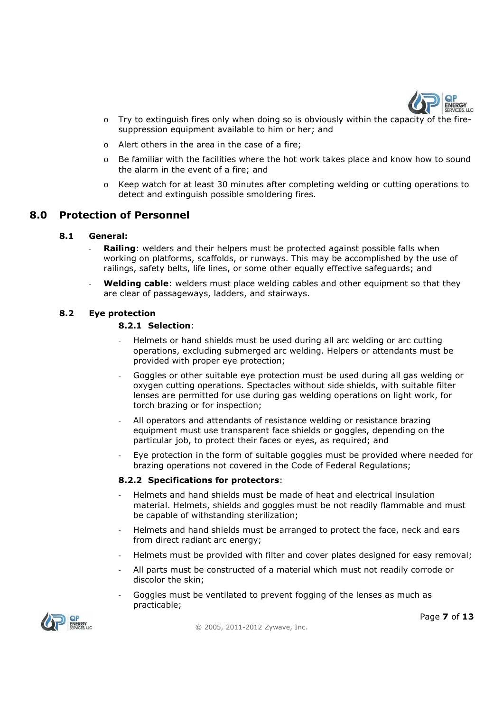

- $\circ$  Try to extinguish fires only when doing so is obviously within the capacity of the firesuppression equipment available to him or her; and
- o Alert others in the area in the case of a fire;
- o Be familiar with the facilities where the hot work takes place and know how to sound the alarm in the event of a fire; and
- o Keep watch for at least 30 minutes after completing welding or cutting operations to detect and extinguish possible smoldering fires.

#### **8.0 Protection of Personnel**

#### **8.1 General:**

- **Railing**: welders and their helpers must be protected against possible falls when working on platforms, scaffolds, or runways. This may be accomplished by the use of railings, safety belts, life lines, or some other equally effective safeguards; and
- **Welding cable**: welders must place welding cables and other equipment so that they are clear of passageways, ladders, and stairways.

#### **8.2 Eye protection**

#### **8.2.1 Selection**:

- Helmets or hand shields must be used during all arc welding or arc cutting operations, excluding submerged arc welding. Helpers or attendants must be provided with proper eye protection;
- Goggles or other suitable eye protection must be used during all gas welding or oxygen cutting operations. Spectacles without side shields, with suitable filter lenses are permitted for use during gas welding operations on light work, for torch brazing or for inspection;
- All operators and attendants of resistance welding or resistance brazing equipment must use transparent face shields or goggles, depending on the particular job, to protect their faces or eyes, as required; and
- Eye protection in the form of suitable goggles must be provided where needed for brazing operations not covered in the Code of Federal Regulations;

#### **8.2.2 Specifications for protectors**:

- Helmets and hand shields must be made of heat and electrical insulation material. Helmets, shields and goggles must be not readily flammable and must be capable of withstanding sterilization;
- Helmets and hand shields must be arranged to protect the face, neck and ears from direct radiant arc energy;
- Helmets must be provided with filter and cover plates designed for easy removal;
- All parts must be constructed of a material which must not readily corrode or discolor the skin;
- Goggles must be ventilated to prevent fogging of the lenses as much as practicable;



© 2005, 2011-2012 Zywave, Inc.

Page **7** of **13**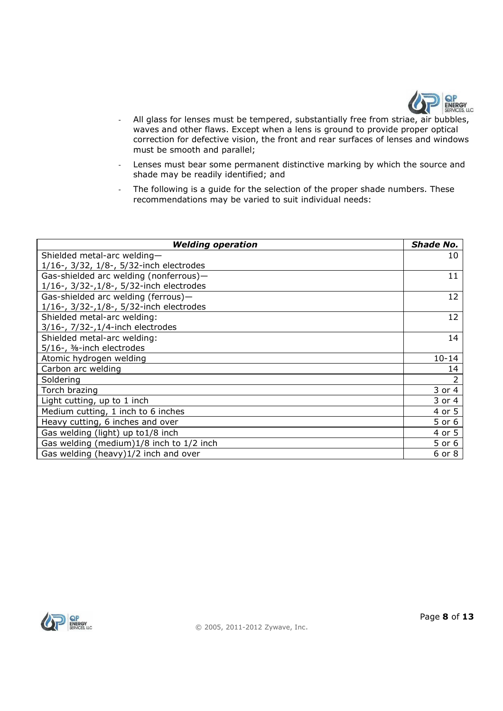

- All glass for lenses must be tempered, substantially free from striae, air bubbles, waves and other flaws. Except when a lens is ground to provide proper optical correction for defective vision, the front and rear surfaces of lenses and windows must be smooth and parallel;
- Lenses must bear some permanent distinctive marking by which the source and shade may be readily identified; and
- The following is a guide for the selection of the proper shade numbers. These recommendations may be varied to suit individual needs:

| <b>Welding operation</b>                 |           |  |  |
|------------------------------------------|-----------|--|--|
| Shielded metal-arc welding-              |           |  |  |
| 1/16-, 3/32, 1/8-, 5/32-inch electrodes  |           |  |  |
| Gas-shielded arc welding (nonferrous)-   |           |  |  |
| 1/16-, 3/32-, 1/8-, 5/32-inch electrodes |           |  |  |
| Gas-shielded arc welding (ferrous)-      |           |  |  |
| 1/16-, 3/32-, 1/8-, 5/32-inch electrodes |           |  |  |
| Shielded metal-arc welding:              | 12        |  |  |
| 3/16-, 7/32-, 1/4-inch electrodes        |           |  |  |
| Shielded metal-arc welding:              |           |  |  |
| 5/16-, 3/8-inch electrodes               | $10 - 14$ |  |  |
| Atomic hydrogen welding                  |           |  |  |
| Carbon arc welding                       |           |  |  |
| Soldering                                |           |  |  |
| Torch brazing                            |           |  |  |
| Light cutting, up to 1 inch              |           |  |  |
| Medium cutting, 1 inch to 6 inches       |           |  |  |
| Heavy cutting, 6 inches and over         |           |  |  |
| Gas welding (light) up to 1/8 inch       |           |  |  |
| Gas welding (medium)1/8 inch to 1/2 inch |           |  |  |
| Gas welding (heavy)1/2 inch and over     |           |  |  |

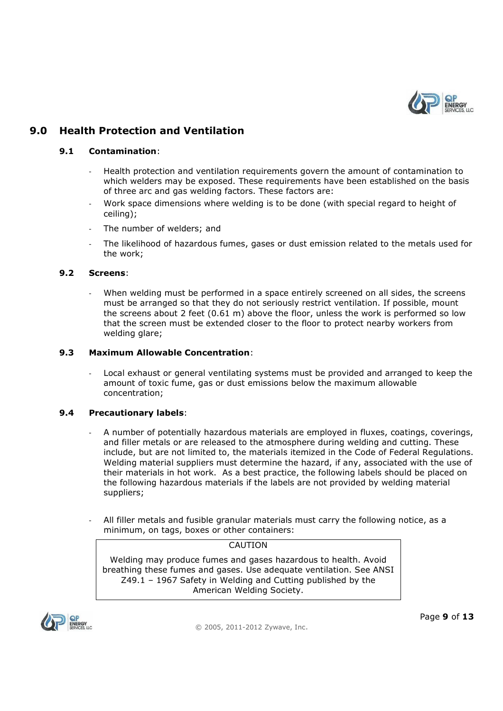

## **9.0 Health Protection and Ventilation**

#### **9.1 Contamination**:

- Health protection and ventilation requirements govern the amount of contamination to which welders may be exposed. These requirements have been established on the basis of three arc and gas welding factors. These factors are:
- Work space dimensions where welding is to be done (with special regard to height of ceiling);
- The number of welders; and
- The likelihood of hazardous fumes, gases or dust emission related to the metals used for the work;

#### **9.2 Screens**:

When welding must be performed in a space entirely screened on all sides, the screens must be arranged so that they do not seriously restrict ventilation. If possible, mount the screens about 2 feet (0.61 m) above the floor, unless the work is performed so low that the screen must be extended closer to the floor to protect nearby workers from welding glare;

#### **9.3 Maximum Allowable Concentration**:

Local exhaust or general ventilating systems must be provided and arranged to keep the amount of toxic fume, gas or dust emissions below the maximum allowable concentration;

#### **9.4 Precautionary labels**:

- A number of potentially hazardous materials are employed in fluxes, coatings, coverings, and filler metals or are released to the atmosphere during welding and cutting. These include, but are not limited to, the materials itemized in the Code of Federal Regulations. Welding material suppliers must determine the hazard, if any, associated with the use of their materials in hot work. As a best practice, the following labels should be placed on the following hazardous materials if the labels are not provided by welding material suppliers;
- All filler metals and fusible granular materials must carry the following notice, as a minimum, on tags, boxes or other containers:

**CAUTION** 

Welding may produce fumes and gases hazardous to health. Avoid breathing these fumes and gases. Use adequate ventilation. See ANSI Z49.1 – 1967 Safety in Welding and Cutting published by the American Welding Society.

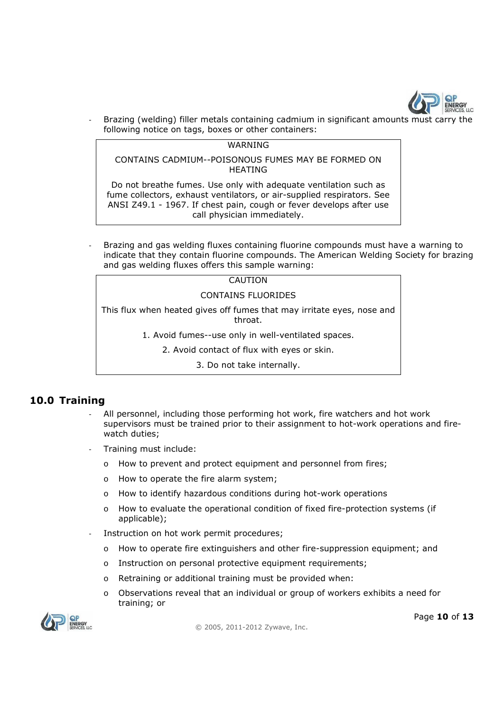

Brazing (welding) filler metals containing cadmium in significant amounts must carry the following notice on tags, boxes or other containers:

#### WARNING

CONTAINS CADMIUM--POISONOUS FUMES MAY BE FORMED ON HEATING

Do not breathe fumes. Use only with adequate ventilation such as fume collectors, exhaust ventilators, or air-supplied respirators. See ANSI Z49.1 - 1967. If chest pain, cough or fever develops after use call physician immediately.

- Brazing and gas welding fluxes containing fluorine compounds must have a warning to indicate that they contain fluorine compounds. The American Welding Society for brazing and gas welding fluxes offers this sample warning:

| CAUTION                                                                           |
|-----------------------------------------------------------------------------------|
| CONTAINS FLUORIDES                                                                |
| This flux when heated gives off fumes that may irritate eyes, nose and<br>throat. |

1. Avoid fumes--use only in well-ventilated spaces.

2. Avoid contact of flux with eyes or skin.

3. Do not take internally.

#### **10.0 Training**

- All personnel, including those performing hot work, fire watchers and hot work supervisors must be trained prior to their assignment to hot-work operations and firewatch duties;
- Training must include:
	- o How to prevent and protect equipment and personnel from fires;
	- o How to operate the fire alarm system;
	- o How to identify hazardous conditions during hot-work operations
	- o How to evaluate the operational condition of fixed fire-protection systems (if applicable);
- Instruction on hot work permit procedures;
	- o How to operate fire extinguishers and other fire-suppression equipment; and
	- o Instruction on personal protective equipment requirements;
	- o Retraining or additional training must be provided when:
	- o Observations reveal that an individual or group of workers exhibits a need for training; or



© 2005, 2011-2012 Zywave, Inc.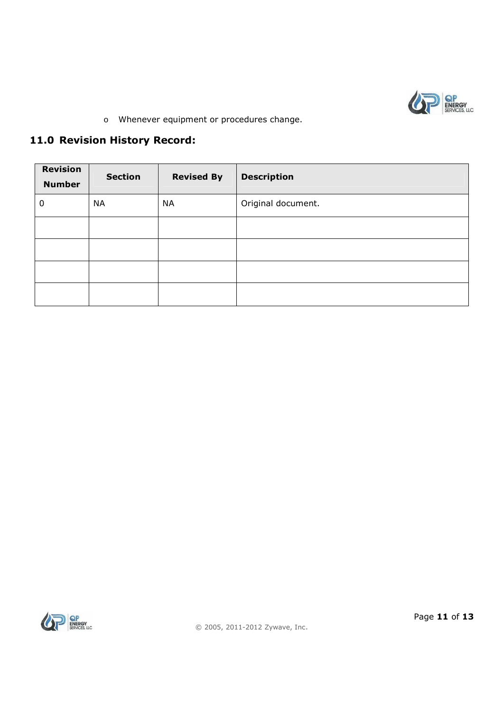

o Whenever equipment or procedures change.

# **11.0 Revision History Record:**

| <b>Revision</b><br><b>Number</b> | <b>Section</b> | <b>Revised By</b> | <b>Description</b> |
|----------------------------------|----------------|-------------------|--------------------|
| 0                                | <b>NA</b>      | <b>NA</b>         | Original document. |
|                                  |                |                   |                    |
|                                  |                |                   |                    |
|                                  |                |                   |                    |
|                                  |                |                   |                    |

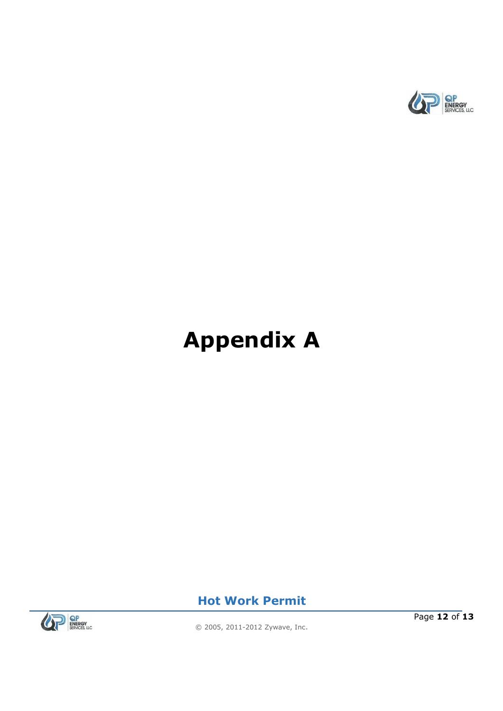

# **Appendix A**



**Hot Work Permit**

Page **12** of **13**

© 2005, 2011-2012 Zywave, Inc.